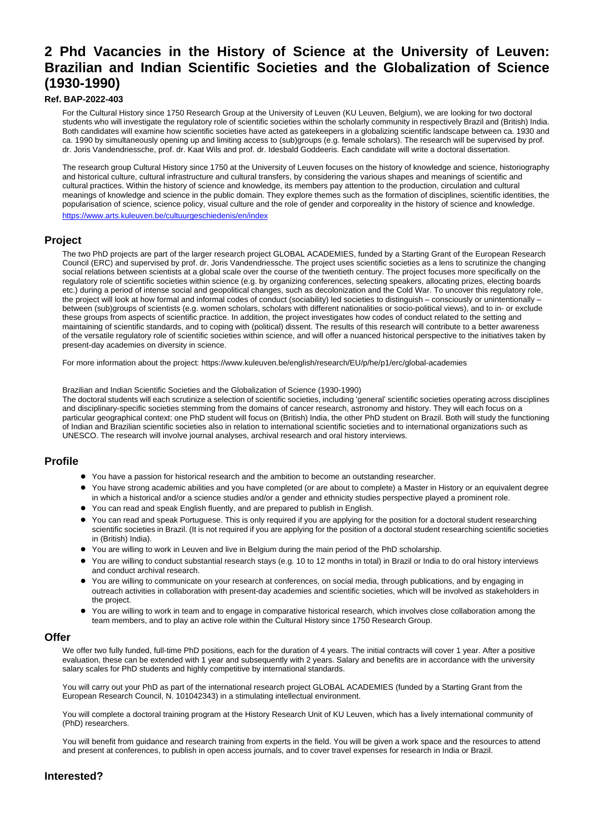# **2 Phd Vacancies in the History of Science at the University of Leuven: Brazilian and Indian Scientific Societies and the Globalization of Science (1930-1990)**

### **Ref. BAP-2022-403**

For the Cultural History since 1750 Research Group at the University of Leuven (KU Leuven, Belgium), we are looking for two doctoral students who will investigate the regulatory role of scientific societies within the scholarly community in respectively Brazil and (British) India. Both candidates will examine how scientific societies have acted as gatekeepers in a globalizing scientific landscape between ca. 1930 and ca. 1990 by simultaneously opening up and limiting access to (sub)groups (e.g. female scholars). The research will be supervised by prof. dr. Joris Vandendriessche, prof. dr. Kaat Wils and prof. dr. Idesbald Goddeeris. Each candidate will write a doctoral dissertation.

The research group Cultural History since 1750 at the University of Leuven focuses on the history of knowledge and science, historiography and historical culture, cultural infrastructure and cultural transfers, by considering the various shapes and meanings of scientific and cultural practices. Within the history of science and knowledge, its members pay attention to the production, circulation and cultural meanings of knowledge and science in the public domain. They explore themes such as the formation of disciplines, scientific identities, the popularisation of science, science policy, visual culture and the role of gender and corporeality in the history of science and knowledge. <https://www.arts.kuleuven.be/cultuurgeschiedenis/en/index>

**Project**

The two PhD projects are part of the larger research project GLOBAL ACADEMIES, funded by a Starting Grant of the European Research Council (ERC) and supervised by prof. dr. Joris Vandendriessche. The project uses scientific societies as a lens to scrutinize the changing social relations between scientists at a global scale over the course of the twentieth century. The project focuses more specifically on the regulatory role of scientific societies within science (e.g. by organizing conferences, selecting speakers, allocating prizes, electing boards etc.) during a period of intense social and geopolitical changes, such as decolonization and the Cold War. To uncover this regulatory role, the project will look at how formal and informal codes of conduct (sociability) led societies to distinguish – consciously or unintentionally – between (sub)groups of scientists (e.g. women scholars, scholars with different nationalities or socio-political views), and to in- or exclude these groups from aspects of scientific practice. In addition, the project investigates how codes of conduct related to the setting and maintaining of scientific standards, and to coping with (political) dissent. The results of this research will contribute to a better awareness of the versatile regulatory role of scientific societies within science, and will offer a nuanced historical perspective to the initiatives taken by present-day academies on diversity in science.

For more information about the project: https://www.kuleuven.be/english/research/EU/p/he/p1/erc/global-academies

Brazilian and Indian Scientific Societies and the Globalization of Science (1930-1990)

The doctoral students will each scrutinize a selection of scientific societies, including 'general' scientific societies operating across disciplines and disciplinary-specific societies stemming from the domains of cancer research, astronomy and history. They will each focus on a particular geographical context: one PhD student will focus on (British) India, the other PhD student on Brazil. Both will study the functioning of Indian and Brazilian scientific societies also in relation to international scientific societies and to international organizations such as UNESCO. The research will involve journal analyses, archival research and oral history interviews.

# **Profile**

- You have a passion for historical research and the ambition to become an outstanding researcher.
- You have strong academic abilities and you have completed (or are about to complete) a Master in History or an equivalent degree in which a historical and/or a science studies and/or a gender and ethnicity studies perspective played a prominent role.
- You can read and speak English fluently, and are prepared to publish in English.
- You can read and speak Portuguese. This is only required if you are applying for the position for a doctoral student researching scientific societies in Brazil. (It is not required if you are applying for the position of a doctoral student researching scientific societies in (British) India).
- You are willing to work in Leuven and live in Belgium during the main period of the PhD scholarship.
- You are willing to conduct substantial research stays (e.g. 10 to 12 months in total) in Brazil or India to do oral history interviews and conduct archival research.
- You are willing to communicate on your research at conferences, on social media, through publications, and by engaging in outreach activities in collaboration with present-day academies and scientific societies, which will be involved as stakeholders in the project.
- You are willing to work in team and to engage in comparative historical research, which involves close collaboration among the team members, and to play an active role within the Cultural History since 1750 Research Group.

### **Offer**

We offer two fully funded, full-time PhD positions, each for the duration of 4 years. The initial contracts will cover 1 year. After a positive evaluation, these can be extended with 1 year and subsequently with 2 years. Salary and benefits are in accordance with the university salary scales for PhD students and highly competitive by international standards.

You will carry out your PhD as part of the international research project GLOBAL ACADEMIES (funded by a Starting Grant from the European Research Council, N. 101042343) in a stimulating intellectual environment.

You will complete a doctoral training program at the History Research Unit of KU Leuven, which has a lively international community of (PhD) researchers.

You will benefit from guidance and research training from experts in the field. You will be given a work space and the resources to attend and present at conferences, to publish in open access journals, and to cover travel expenses for research in India or Brazil.

# **Interested?**